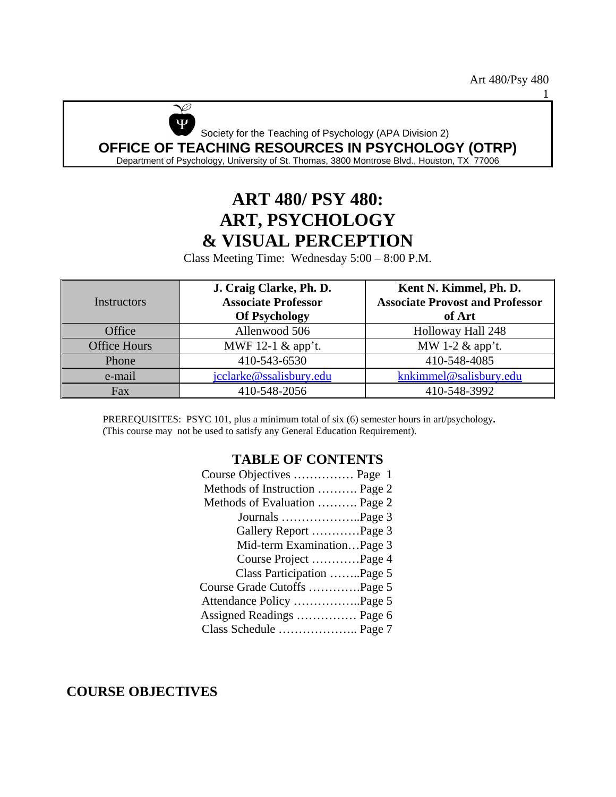1



# **ART 480/ PSY 480: ART, PSYCHOLOGY & VISUAL PERCEPTION**

Class Meeting Time: Wednesday 5:00 – 8:00 P.M.

| <b>Instructors</b>  | J. Craig Clarke, Ph. D.<br><b>Associate Professor</b><br><b>Of Psychology</b> | Kent N. Kimmel, Ph. D.<br><b>Associate Provost and Professor</b><br>of Art |  |
|---------------------|-------------------------------------------------------------------------------|----------------------------------------------------------------------------|--|
| Office              | Allenwood 506                                                                 | Holloway Hall 248                                                          |  |
| <b>Office Hours</b> | MWF 12-1 & app't.                                                             | MW 1-2 $\&$ app't.                                                         |  |
| Phone               | 410-543-6530                                                                  | 410-548-4085                                                               |  |
| e-mail              | jcclarke@ssalisbury.edu                                                       | knkimmel@salisbury.edu                                                     |  |
| Fax                 | 410-548-2056                                                                  | 410-548-3992                                                               |  |

PREREQUISITES: PSYC 101, plus a minimum total of six (6) semester hours in art/psychology**.**  (This course may not be used to satisfy any General Education Requirement).

#### **TABLE OF CONTENTS**

**COURSE OBJECTIVES**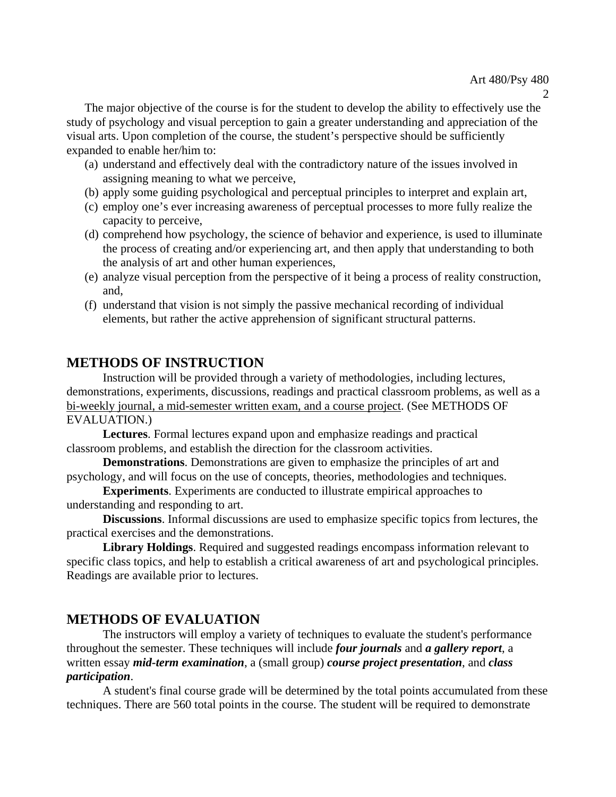The major objective of the course is for the student to develop the ability to effectively use the study of psychology and visual perception to gain a greater understanding and appreciation of the visual arts. Upon completion of the course, the student's perspective should be sufficiently expanded to enable her/him to:

- (a) understand and effectively deal with the contradictory nature of the issues involved in assigning meaning to what we perceive,
- (b) apply some guiding psychological and perceptual principles to interpret and explain art,
- (c) employ one's ever increasing awareness of perceptual processes to more fully realize the capacity to perceive,
- (d) comprehend how psychology, the science of behavior and experience, is used to illuminate the process of creating and/or experiencing art, and then apply that understanding to both the analysis of art and other human experiences,
- (e) analyze visual perception from the perspective of it being a process of reality construction, and,
- (f) understand that vision is not simply the passive mechanical recording of individual elements, but rather the active apprehension of significant structural patterns.

# **METHODS OF INSTRUCTION**

Instruction will be provided through a variety of methodologies, including lectures, demonstrations, experiments, discussions, readings and practical classroom problems, as well as a bi-weekly journal, a mid-semester written exam, and a course project. (See METHODS OF EVALUATION.)

**Lectures**. Formal lectures expand upon and emphasize readings and practical classroom problems, and establish the direction for the classroom activities.

**Demonstrations**. Demonstrations are given to emphasize the principles of art and psychology, and will focus on the use of concepts, theories, methodologies and techniques.

**Experiments**. Experiments are conducted to illustrate empirical approaches to understanding and responding to art.

**Discussions**. Informal discussions are used to emphasize specific topics from lectures, the practical exercises and the demonstrations.

**Library Holdings**. Required and suggested readings encompass information relevant to specific class topics, and help to establish a critical awareness of art and psychological principles. Readings are available prior to lectures.

# **METHODS OF EVALUATION**

The instructors will employ a variety of techniques to evaluate the student's performance throughout the semester. These techniques will include *four journals* and *a gallery report*, a written essay *mid-term examination*, a (small group) *course project presentation*, and *class participation*.

A student's final course grade will be determined by the total points accumulated from these techniques. There are 560 total points in the course. The student will be required to demonstrate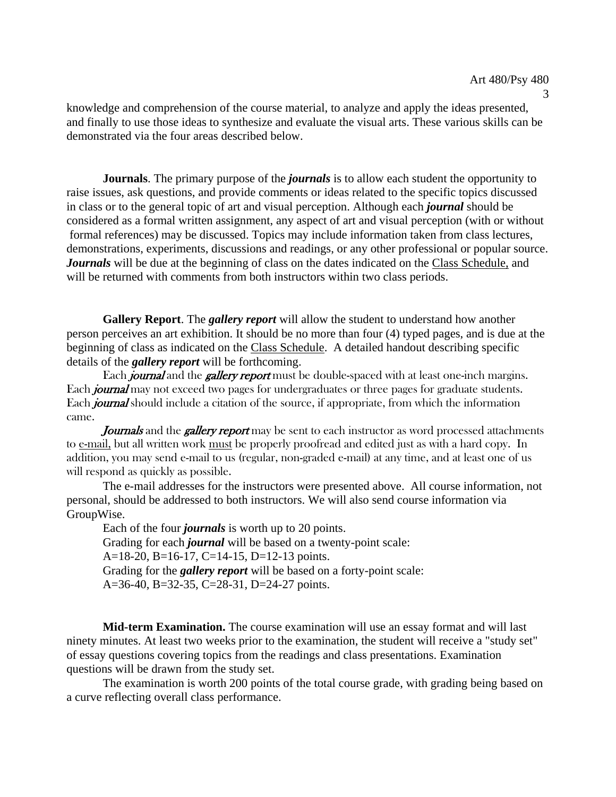3

knowledge and comprehension of the course material, to analyze and apply the ideas presented, and finally to use those ideas to synthesize and evaluate the visual arts. These various skills can be demonstrated via the four areas described below.

**Journals**. The primary purpose of the *journals* is to allow each student the opportunity to raise issues, ask questions, and provide comments or ideas related to the specific topics discussed in class or to the general topic of art and visual perception. Although each *journal* should be considered as a formal written assignment, any aspect of art and visual perception (with or without formal references) may be discussed. Topics may include information taken from class lectures, demonstrations, experiments, discussions and readings, or any other professional or popular source. *Journals* will be due at the beginning of class on the dates indicated on the Class Schedule, and will be returned with comments from both instructors within two class periods.

**Gallery Report**. The *gallery report* will allow the student to understand how another person perceives an art exhibition. It should be no more than four (4) typed pages, and is due at the beginning of class as indicated on the Class Schedule. A detailed handout describing specific details of the *gallery report* will be forthcoming.

Each *journal* and the *gallery report* must be double-spaced with at least one-inch margins. Each *journal* may not exceed two pages for undergraduates or three pages for graduate students. Each *journal* should include a citation of the source, if appropriate, from which the information came.

Journals and the gallery report may be sent to each instructor as word processed attachments to e-mail, but all written work must be properly proofread and edited just as with a hard copy. In addition, you may send e-mail to us (regular, non-graded e-mail) at any time, and at least one of us will respond as quickly as possible.

The e-mail addresses for the instructors were presented above. All course information, not personal, should be addressed to both instructors. We will also send course information via GroupWise.

Each of the four *journals* is worth up to 20 points. Grading for each *journal* will be based on a twenty-point scale: A=18-20, B=16-17, C=14-15, D=12-13 points. Grading for the *gallery report* will be based on a forty-point scale: A=36-40, B=32-35, C=28-31, D=24-27 points.

**Mid-term Examination.** The course examination will use an essay format and will last ninety minutes. At least two weeks prior to the examination, the student will receive a "study set" of essay questions covering topics from the readings and class presentations. Examination questions will be drawn from the study set.

The examination is worth 200 points of the total course grade, with grading being based on a curve reflecting overall class performance.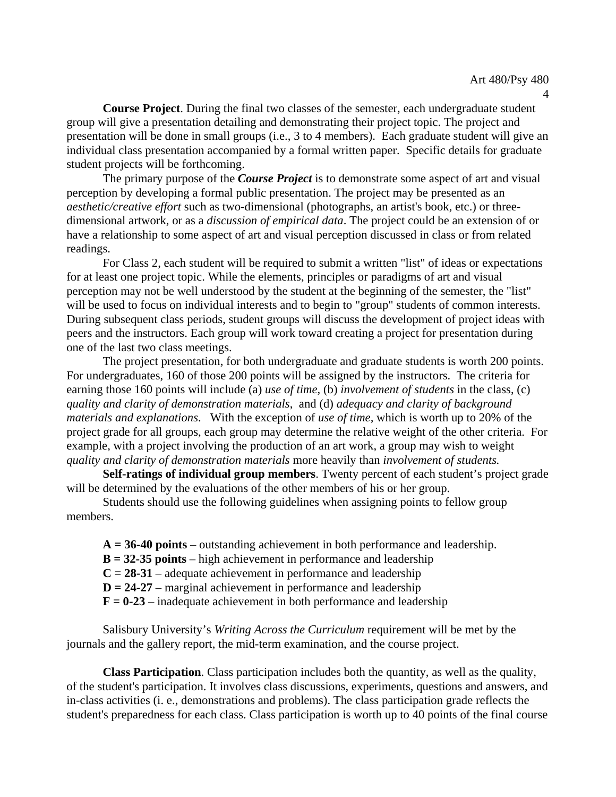**Course Project**. During the final two classes of the semester, each undergraduate student group will give a presentation detailing and demonstrating their project topic. The project and presentation will be done in small groups (i.e., 3 to 4 members). Each graduate student will give an individual class presentation accompanied by a formal written paper. Specific details for graduate student projects will be forthcoming.

The primary purpose of the *Course Project* is to demonstrate some aspect of art and visual perception by developing a formal public presentation. The project may be presented as an *aesthetic/creative effort* such as two-dimensional (photographs, an artist's book, etc.) or threedimensional artwork, or as a *discussion of empirical data*. The project could be an extension of or have a relationship to some aspect of art and visual perception discussed in class or from related readings.

For Class 2, each student will be required to submit a written "list" of ideas or expectations for at least one project topic. While the elements, principles or paradigms of art and visual perception may not be well understood by the student at the beginning of the semester, the "list" will be used to focus on individual interests and to begin to "group" students of common interests. During subsequent class periods, student groups will discuss the development of project ideas with peers and the instructors. Each group will work toward creating a project for presentation during one of the last two class meetings.

The project presentation, for both undergraduate and graduate students is worth 200 points. For undergraduates, 160 of those 200 points will be assigned by the instructors. The criteria for earning those 160 points will include (a) *use of time*, (b) *involvement of students* in the class, (c) *quality and clarity of demonstration materials*, and (d) *adequacy and clarity of background materials and explanations*. With the exception of *use of time,* which is worth up to 20% of the project grade for all groups, each group may determine the relative weight of the other criteria. For example, with a project involving the production of an art work, a group may wish to weight *quality and clarity of demonstration materials* more heavily than *involvement of students.* 

**Self-ratings of individual group members**. Twenty percent of each student's project grade will be determined by the evaluations of the other members of his or her group.

Students should use the following guidelines when assigning points to fellow group members.

**A = 36-40 points** – outstanding achievement in both performance and leadership.

**B = 32-35 points** – high achievement in performance and leadership

 $C = 28-31$  – adequate achievement in performance and leadership

**D = 24-27** – marginal achievement in performance and leadership

 $\mathbf{F} = 0.23$  – inadequate achievement in both performance and leadership

Salisbury University's *Writing Across the Curriculum* requirement will be met by the journals and the gallery report, the mid-term examination, and the course project.

**Class Participation**. Class participation includes both the quantity, as well as the quality, of the student's participation. It involves class discussions, experiments, questions and answers, and in-class activities (i. e., demonstrations and problems). The class participation grade reflects the student's preparedness for each class. Class participation is worth up to 40 points of the final course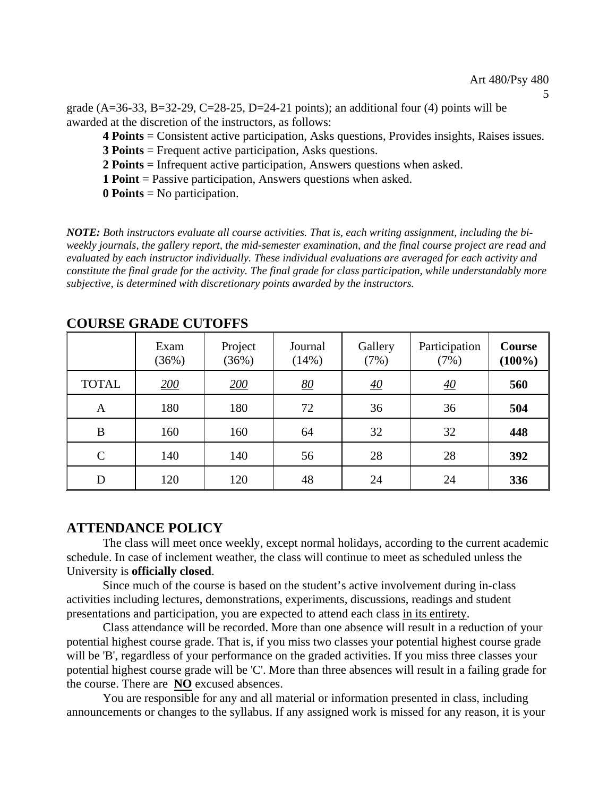5

grade  $(A=36-33, B=32-29, C=28-25, D=24-21$  points); an additional four (4) points will be awarded at the discretion of the instructors, as follows:

**4 Points** = Consistent active participation, Asks questions, Provides insights, Raises issues.

**3 Points** = Frequent active participation, Asks questions.

**2 Points** = Infrequent active participation, Answers questions when asked.

**1 Point** = Passive participation, Answers questions when asked.

**0 Points** = No participation.

*NOTE: Both instructors evaluate all course activities. That is, each writing assignment, including the biweekly journals, the gallery report, the mid-semester examination, and the final course project are read and evaluated by each instructor individually. These individual evaluations are averaged for each activity and constitute the final grade for the activity. The final grade for class participation, while understandably more subjective, is determined with discretionary points awarded by the instructors.* 

| COUNDE GRADE CUTOITD |               |                  |                  |                  |                       |                            |
|----------------------|---------------|------------------|------------------|------------------|-----------------------|----------------------------|
|                      | Exam<br>(36%) | Project<br>(36%) | Journal<br>(14%) | Gallery<br>(7%)  | Participation<br>(7%) | <b>Course</b><br>$(100\%)$ |
| <b>TOTAL</b>         | 200           | 200              | 80               | $\underline{40}$ | <u>40</u>             | 560                        |
| A                    | 180           | 180              | 72               | 36               | 36                    | 504                        |
| B                    | 160           | 160              | 64               | 32               | 32                    | 448                        |
| $\mathsf{C}$         | 140           | 140              | 56               | 28               | 28                    | 392                        |
| D                    | 120           | 120              | 48               | 24               | 24                    | 336                        |

#### **COURSE GRADE CUTOFFS**

#### **ATTENDANCE POLICY**

The class will meet once weekly, except normal holidays, according to the current academic schedule. In case of inclement weather, the class will continue to meet as scheduled unless the University is **officially closed**.

Since much of the course is based on the student's active involvement during in-class activities including lectures, demonstrations, experiments, discussions, readings and student presentations and participation, you are expected to attend each class in its entirety.

Class attendance will be recorded. More than one absence will result in a reduction of your potential highest course grade. That is, if you miss two classes your potential highest course grade will be 'B', regardless of your performance on the graded activities. If you miss three classes your potential highest course grade will be 'C'. More than three absences will result in a failing grade for the course. There are **NO** excused absences.

You are responsible for any and all material or information presented in class, including announcements or changes to the syllabus. If any assigned work is missed for any reason, it is your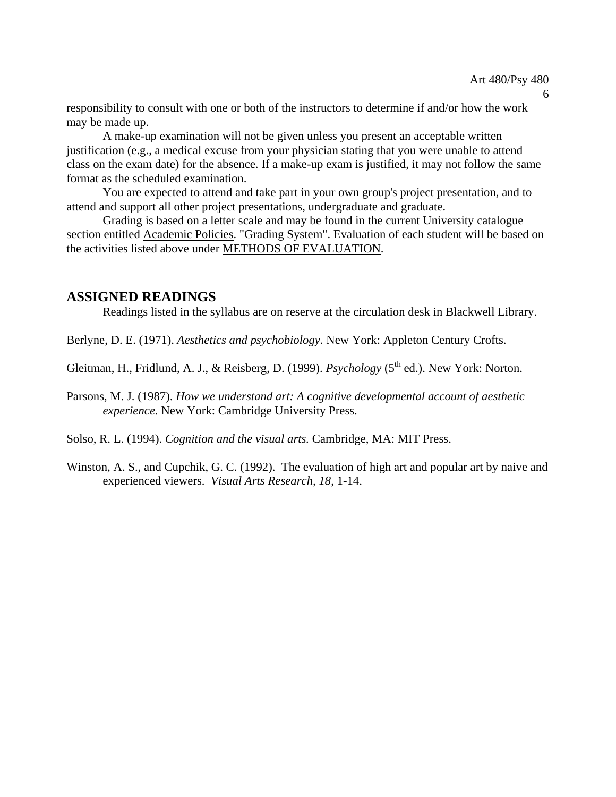responsibility to consult with one or both of the instructors to determine if and/or how the work may be made up.

A make-up examination will not be given unless you present an acceptable written justification (e.g., a medical excuse from your physician stating that you were unable to attend class on the exam date) for the absence. If a make-up exam is justified, it may not follow the same format as the scheduled examination.

You are expected to attend and take part in your own group's project presentation, and to attend and support all other project presentations, undergraduate and graduate.

Grading is based on a letter scale and may be found in the current University catalogue section entitled Academic Policies. "Grading System". Evaluation of each student will be based on the activities listed above under METHODS OF EVALUATION.

### **ASSIGNED READINGS**

Readings listed in the syllabus are on reserve at the circulation desk in Blackwell Library.

Berlyne, D. E. (1971). *Aesthetics and psychobiology.* New York: Appleton Century Crofts.

Gleitman, H., Fridlund, A. J., & Reisberg, D. (1999). *Psychology* (5<sup>th</sup> ed.). New York: Norton.

Parsons, M. J. (1987). *How we understand art: A cognitive developmental account of aesthetic experience.* New York: Cambridge University Press.

Solso, R. L. (1994). *Cognition and the visual arts.* Cambridge, MA: MIT Press.

Winston, A. S., and Cupchik, G. C. (1992). The evaluation of high art and popular art by naive and experienced viewers. *Visual Arts Research, 18*, 1-14.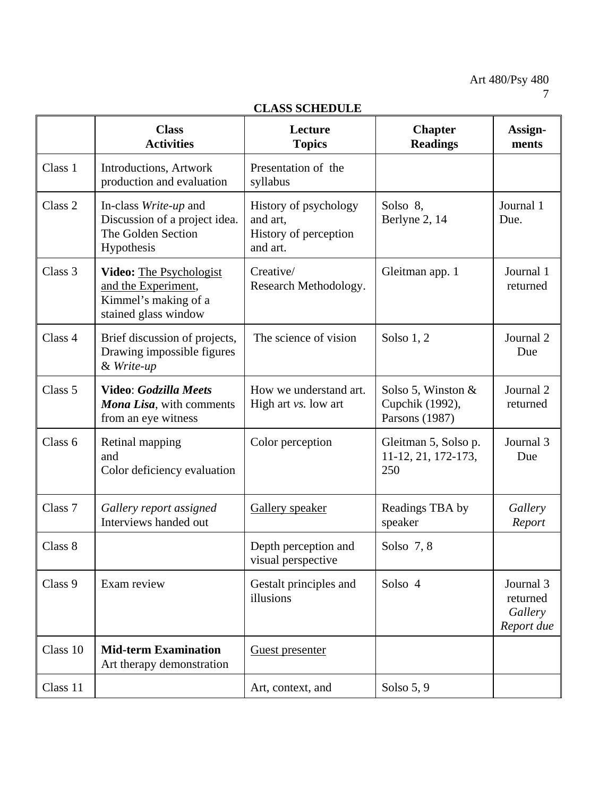| ULADD DUNEDULE     |                                                                                                |                                                                        |                                                            |                                                |  |  |
|--------------------|------------------------------------------------------------------------------------------------|------------------------------------------------------------------------|------------------------------------------------------------|------------------------------------------------|--|--|
|                    | <b>Class</b><br><b>Activities</b>                                                              | Lecture<br><b>Topics</b>                                               | <b>Chapter</b><br><b>Readings</b>                          | Assign-<br>ments                               |  |  |
| Class 1            | <b>Introductions, Artwork</b><br>production and evaluation                                     | Presentation of the<br>syllabus                                        |                                                            |                                                |  |  |
| Class <sub>2</sub> | In-class Write-up and<br>Discussion of a project idea.<br>The Golden Section<br>Hypothesis     | History of psychology<br>and art,<br>History of perception<br>and art. | Solso 8,<br>Berlyne 2, 14                                  | Journal 1<br>Due.                              |  |  |
| Class 3            | Video: The Psychologist<br>and the Experiment,<br>Kimmel's making of a<br>stained glass window | Creative/<br>Research Methodology.                                     | Gleitman app. 1                                            | Journal 1<br>returned                          |  |  |
| Class 4            | Brief discussion of projects,<br>Drawing impossible figures<br>& Write-up                      | The science of vision                                                  | Solso $1, 2$                                               | Journal 2<br>Due                               |  |  |
| Class 5            | Video: Godzilla Meets<br>Mona Lisa, with comments<br>from an eye witness                       | How we understand art.<br>High art <i>vs</i> . low art                 | Solso 5, Winston $\&$<br>Cupchik (1992),<br>Parsons (1987) | Journal 2<br>returned                          |  |  |
| Class 6            | Retinal mapping<br>and<br>Color deficiency evaluation                                          | Color perception                                                       | Gleitman 5, Solso p.<br>11-12, 21, 172-173,<br>250         | Journal 3<br>Due                               |  |  |
| Class 7            | Gallery report assigned<br>Interviews handed out                                               | Gallery speaker                                                        | Readings TBA by<br>speaker                                 | Gallery<br>Report                              |  |  |
| Class 8            |                                                                                                | Depth perception and<br>visual perspective                             | Solso $7, 8$                                               |                                                |  |  |
| Class 9            | Exam review                                                                                    | Gestalt principles and<br>illusions                                    | Solso 4                                                    | Journal 3<br>returned<br>Gallery<br>Report due |  |  |
| Class 10           | <b>Mid-term Examination</b><br>Art therapy demonstration                                       | Guest presenter                                                        |                                                            |                                                |  |  |
| Class 11           |                                                                                                | Art, context, and                                                      | Solso $5, 9$                                               |                                                |  |  |

# **CLASS SCHEDULE**